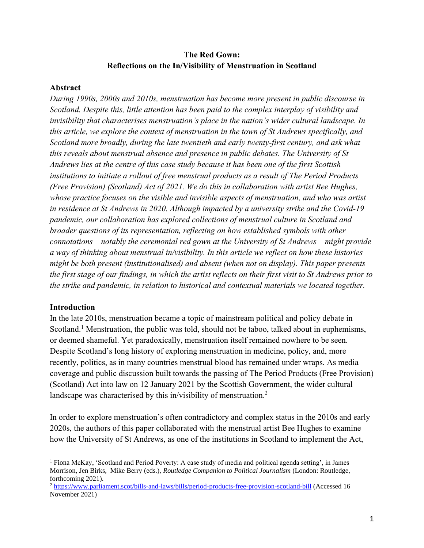# **The Red Gown: Reflections on the In/Visibility of Menstruation in Scotland**

### **Abstract**

*During 1990s, 2000s and 2010s, menstruation has become more present in public discourse in Scotland. Despite this, little attention has been paid to the complex interplay of visibility and invisibility that characterises menstruation's place in the nation's wider cultural landscape. In this article, we explore the context of menstruation in the town of St Andrews specifically, and Scotland more broadly, during the late twentieth and early twenty-first century, and ask what this reveals about menstrual absence and presence in public debates. The University of St Andrews lies at the centre of this case study because it has been one of the first Scottish institutions to initiate a rollout of free menstrual products as a result of The Period Products (Free Provision) (Scotland) Act of 2021. We do this in collaboration with artist Bee Hughes, whose practice focuses on the visible and invisible aspects of menstruation, and who was artist in residence at St Andrews in 2020. Although impacted by a university strike and the Covid-19 pandemic, our collaboration has explored collections of menstrual culture in Scotland and broader questions of its representation, reflecting on how established symbols with other connotations – notably the ceremonial red gown at the University of St Andrews – might provide a way of thinking about menstrual in/visibility. In this article we reflect on how these histories might be both present (institutionalised) and absent (when not on display). This paper presents the first stage of our findings, in which the artist reflects on their first visit to St Andrews prior to the strike and pandemic, in relation to historical and contextual materials we located together.*

### **Introduction**

In the late 2010s, menstruation became a topic of mainstream political and policy debate in Scotland.<sup>1</sup> Menstruation, the public was told, should not be taboo, talked about in euphemisms, or deemed shameful. Yet paradoxically, menstruation itself remained nowhere to be seen. Despite Scotland's long history of exploring menstruation in medicine, policy, and, more recently, politics, as in many countries menstrual blood has remained under wraps. As media coverage and public discussion built towards the passing of The Period Products (Free Provision) (Scotland) Act into law on 12 January 2021 by the Scottish Government, the wider cultural landscape was characterised by this in/visibility of menstruation. $2$ 

In order to explore menstruation's often contradictory and complex status in the 2010s and early 2020s, the authors of this paper collaborated with the menstrual artist Bee Hughes to examine how the University of St Andrews, as one of the institutions in Scotland to implement the Act,

<sup>&</sup>lt;sup>1</sup> Fiona McKay, 'Scotland and Period Poverty: A case study of media and political agenda setting', in James Morrison, Jen Birks, Mike Berry (eds.), *Routledge Companion to Political Journalism* (London: Routledge, forthcoming 2021).

<sup>2</sup> <https://www.parliament.scot/bills-and-laws/bills/period-products-free-provision-scotland-bill> (Accessed 16 November 2021)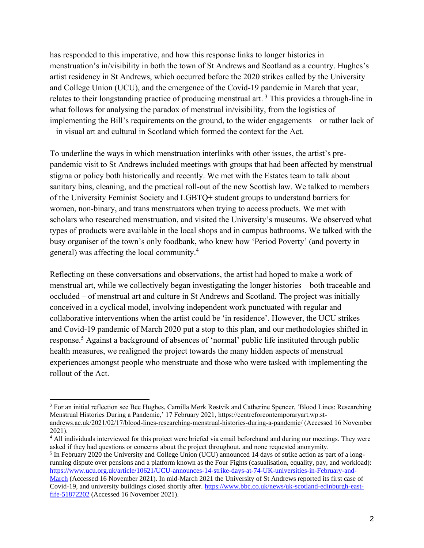has responded to this imperative, and how this response links to longer histories in menstruation's in/visibility in both the town of St Andrews and Scotland as a country. Hughes's artist residency in St Andrews, which occurred before the 2020 strikes called by the University and College Union (UCU), and the emergence of the Covid-19 pandemic in March that year, relates to their longstanding practice of producing menstrual art.<sup>3</sup> This provides a through-line in what follows for analysing the paradox of menstrual in/visibility, from the logistics of implementing the Bill's requirements on the ground, to the wider engagements – or rather lack of – in visual art and cultural in Scotland which formed the context for the Act.

To underline the ways in which menstruation interlinks with other issues, the artist's prepandemic visit to St Andrews included meetings with groups that had been affected by menstrual stigma or policy both historically and recently. We met with the Estates team to talk about sanitary bins, cleaning, and the practical roll-out of the new Scottish law. We talked to members of the University Feminist Society and LGBTQ+ student groups to understand barriers for women, non-binary, and trans menstruators when trying to access products. We met with scholars who researched menstruation, and visited the University's museums. We observed what types of products were available in the local shops and in campus bathrooms. We talked with the busy organiser of the town's only foodbank, who knew how 'Period Poverty' (and poverty in general) was affecting the local community.<sup>4</sup>

Reflecting on these conversations and observations, the artist had hoped to make a work of menstrual art, while we collectively began investigating the longer histories – both traceable and occluded – of menstrual art and culture in St Andrews and Scotland. The project was initially conceived in a cyclical model, involving independent work punctuated with regular and collaborative interventions when the artist could be 'in residence'. However, the UCU strikes and Covid-19 pandemic of March 2020 put a stop to this plan, and our methodologies shifted in response.<sup>5</sup> Against a background of absences of 'normal' public life instituted through public health measures, we realigned the project towards the many hidden aspects of menstrual experiences amongst people who menstruate and those who were tasked with implementing the rollout of the Act.

<sup>3</sup> For an initial reflection see Bee Hughes, Camilla Mørk Røstvik and Catherine Spencer, 'Blood Lines: Researching Menstrual Histories During a Pandemic,' 17 February 2021, [https://centreforcontemporaryart.wp.st](https://centreforcontemporaryart.wp.st-andrews.ac.uk/2021/02/17/blood-lines-researching-menstrual-histories-during-a-pandemic/)[andrews.ac.uk/2021/02/17/blood-lines-researching-menstrual-histories-during-a-pandemic/](https://centreforcontemporaryart.wp.st-andrews.ac.uk/2021/02/17/blood-lines-researching-menstrual-histories-during-a-pandemic/) (Accessed 16 November 2021).

<sup>4</sup> All individuals interviewed for this project were briefed via email beforehand and during our meetings. They were asked if they had questions or concerns about the project throughout, and none requested anonymity.

<sup>&</sup>lt;sup>5</sup> In February 2020 the University and College Union (UCU) announced 14 days of strike action as part of a longrunning dispute over pensions and a platform known as the Four Fights (casualisation, equality, pay, and workload): [https://www.ucu.org.uk/article/10621/UCU-announces-14-strike-days-at-74-UK-universities-in-February-and-](https://www.ucu.org.uk/article/10621/UCU-announces-14-strike-days-at-74-UK-universities-in-February-and-March)

[March](https://www.ucu.org.uk/article/10621/UCU-announces-14-strike-days-at-74-UK-universities-in-February-and-March) (Accessed 16 November 2021). In mid-March 2021 the University of St Andrews reported its first case of Covid-19, and university buildings closed shortly after. [https://www.bbc.co.uk/news/uk-scotland-edinburgh-east](https://www.bbc.co.uk/news/uk-scotland-edinburgh-east-fife-51872202)[fife-51872202](https://www.bbc.co.uk/news/uk-scotland-edinburgh-east-fife-51872202) (Accessed 16 November 2021).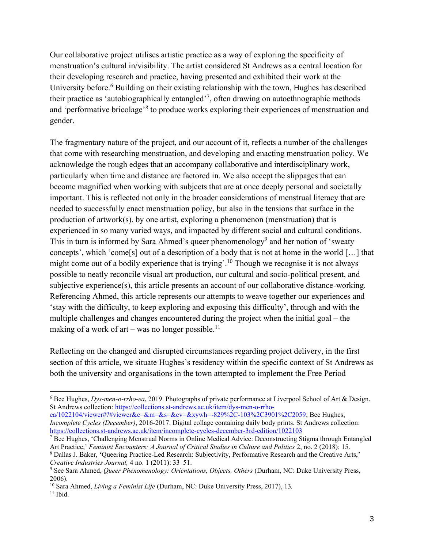Our collaborative project utilises artistic practice as a way of exploring the specificity of menstruation's cultural in/visibility. The artist considered St Andrews as a central location for their developing research and practice, having presented and exhibited their work at the University before.<sup>6</sup> Building on their existing relationship with the town, Hughes has described their practice as 'autobiographically entangled'<sup>7</sup>, often drawing on autoethnographic methods and 'performative bricolage'<sup>8</sup> to produce works exploring their experiences of menstruation and gender.

The fragmentary nature of the project, and our account of it, reflects a number of the challenges that come with researching menstruation, and developing and enacting menstruation policy. We acknowledge the rough edges that an accompany collaborative and interdisciplinary work, particularly when time and distance are factored in. We also accept the slippages that can become magnified when working with subjects that are at once deeply personal and societally important. This is reflected not only in the broader considerations of menstrual literacy that are needed to successfully enact menstruation policy, but also in the tensions that surface in the production of artwork(s), by one artist, exploring a phenomenon (menstruation) that is experienced in so many varied ways, and impacted by different social and cultural conditions. This in turn is informed by Sara Ahmed's queer phenomenology<sup>9</sup> and her notion of 'sweaty concepts', which 'come[s] out of a description of a body that is not at home in the world […] that might come out of a bodily experience that is trying'.<sup>10</sup> Though we recognise it is not always possible to neatly reconcile visual art production, our cultural and socio-political present, and subjective experience(s), this article presents an account of our collaborative distance-working. Referencing Ahmed, this article represents our attempts to weave together our experiences and 'stay with the difficulty, to keep exploring and exposing this difficulty', through and with the multiple challenges and changes encountered during the project when the initial goal – the making of a work of art – was no longer possible.<sup>11</sup>

Reflecting on the changed and disrupted circumstances regarding project delivery, in the first section of this article, we situate Hughes's residency within the specific context of St Andrews as both the university and organisations in the town attempted to implement the Free Period

<sup>6</sup> Bee Hughes, *Dys-men-o-rrho-ea*, 2019. Photographs of private performance at Liverpool School of Art & Design. St Andrews collection: [https://collections.st-andrews.ac.uk/item/dys-men-o-rrho-](https://collections.st-andrews.ac.uk/item/dys-men-o-rrho-ea/1022104/viewer#?)

[ea/1022104/viewer#?#viewer&c=&m=&s=&cv=&xywh=-829%2C-103%2C3901%2C2059;](https://collections.st-andrews.ac.uk/item/dys-men-o-rrho-ea/1022104/viewer#?) Bee Hughes, *Incomplete Cycles (December)*, 2016-2017. Digital collage containing daily body prints. St Andrews collection: <https://collections.st-andrews.ac.uk/item/incomplete-cycles-december-3rd-edition/1022103>

<sup>7</sup> Bee Hughes, 'Challenging Menstrual Norms in Online Medical Advice: Deconstructing Stigma through Entangled Art Practice,' *Feminist Encounters: A Journal of Critical Studies in Culture and Politics* 2, no. 2 (2018): 15.

<sup>8</sup> Dallas J. Baker, 'Queering Practice-Led Research: Subjectivity, Performative Research and the Creative Arts,' *Creative Industries Journal,* 4 no. 1 (2011): 33–51.

<sup>9</sup> See Sara Ahmed, *Queer Phenomenology: Orientations, Objects, Others* (Durham, NC: Duke University Press, 2006).

<sup>10</sup> Sara Ahmed, *Living a Feminist Life* (Durham, NC: Duke University Press, 2017), 13*.* 

 $11$  Ibid.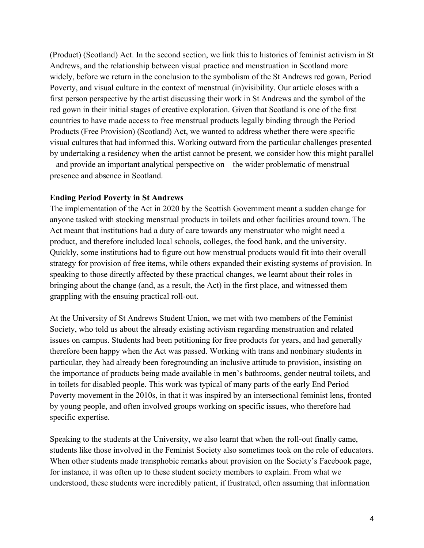(Product) (Scotland) Act. In the second section, we link this to histories of feminist activism in St Andrews, and the relationship between visual practice and menstruation in Scotland more widely, before we return in the conclusion to the symbolism of the St Andrews red gown, Period Poverty, and visual culture in the context of menstrual (in)visibility. Our article closes with a first person perspective by the artist discussing their work in St Andrews and the symbol of the red gown in their initial stages of creative exploration. Given that Scotland is one of the first countries to have made access to free menstrual products legally binding through the Period Products (Free Provision) (Scotland) Act, we wanted to address whether there were specific visual cultures that had informed this. Working outward from the particular challenges presented by undertaking a residency when the artist cannot be present, we consider how this might parallel – and provide an important analytical perspective on – the wider problematic of menstrual presence and absence in Scotland.

## **Ending Period Poverty in St Andrews**

The implementation of the Act in 2020 by the Scottish Government meant a sudden change for anyone tasked with stocking menstrual products in toilets and other facilities around town. The Act meant that institutions had a duty of care towards any menstruator who might need a product, and therefore included local schools, colleges, the food bank, and the university. Quickly, some institutions had to figure out how menstrual products would fit into their overall strategy for provision of free items, while others expanded their existing systems of provision. In speaking to those directly affected by these practical changes, we learnt about their roles in bringing about the change (and, as a result, the Act) in the first place, and witnessed them grappling with the ensuing practical roll-out.

At the University of St Andrews Student Union, we met with two members of the Feminist Society, who told us about the already existing activism regarding menstruation and related issues on campus. Students had been petitioning for free products for years, and had generally therefore been happy when the Act was passed. Working with trans and nonbinary students in particular, they had already been foregrounding an inclusive attitude to provision, insisting on the importance of products being made available in men's bathrooms, gender neutral toilets, and in toilets for disabled people. This work was typical of many parts of the early End Period Poverty movement in the 2010s, in that it was inspired by an intersectional feminist lens, fronted by young people, and often involved groups working on specific issues, who therefore had specific expertise.

Speaking to the students at the University, we also learnt that when the roll-out finally came, students like those involved in the Feminist Society also sometimes took on the role of educators. When other students made transphobic remarks about provision on the Society's Facebook page, for instance, it was often up to these student society members to explain. From what we understood, these students were incredibly patient, if frustrated, often assuming that information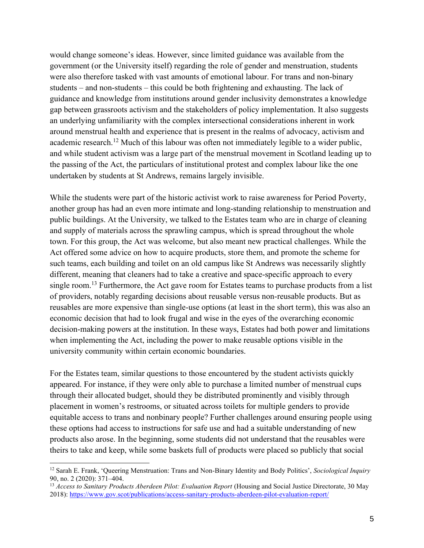would change someone's ideas. However, since limited guidance was available from the government (or the University itself) regarding the role of gender and menstruation, students were also therefore tasked with vast amounts of emotional labour. For trans and non-binary students – and non-students – this could be both frightening and exhausting. The lack of guidance and knowledge from institutions around gender inclusivity demonstrates a knowledge gap between grassroots activism and the stakeholders of policy implementation. It also suggests an underlying unfamiliarity with the complex intersectional considerations inherent in work around menstrual health and experience that is present in the realms of advocacy, activism and academic research.<sup>12</sup> Much of this labour was often not immediately legible to a wider public, and while student activism was a large part of the menstrual movement in Scotland leading up to the passing of the Act, the particulars of institutional protest and complex labour like the one undertaken by students at St Andrews, remains largely invisible.

While the students were part of the historic activist work to raise awareness for Period Poverty, another group has had an even more intimate and long-standing relationship to menstruation and public buildings. At the University, we talked to the Estates team who are in charge of cleaning and supply of materials across the sprawling campus, which is spread throughout the whole town. For this group, the Act was welcome, but also meant new practical challenges. While the Act offered some advice on how to acquire products, store them, and promote the scheme for such teams, each building and toilet on an old campus like St Andrews was necessarily slightly different, meaning that cleaners had to take a creative and space-specific approach to every single room.<sup>13</sup> Furthermore, the Act gave room for Estates teams to purchase products from a list of providers, notably regarding decisions about reusable versus non-reusable products. But as reusables are more expensive than single-use options (at least in the short term), this was also an economic decision that had to look frugal and wise in the eyes of the overarching economic decision-making powers at the institution. In these ways, Estates had both power and limitations when implementing the Act, including the power to make reusable options visible in the university community within certain economic boundaries.

For the Estates team, similar questions to those encountered by the student activists quickly appeared. For instance, if they were only able to purchase a limited number of menstrual cups through their allocated budget, should they be distributed prominently and visibly through placement in women's restrooms, or situated across toilets for multiple genders to provide equitable access to trans and nonbinary people? Further challenges around ensuring people using these options had access to instructions for safe use and had a suitable understanding of new products also arose. In the beginning, some students did not understand that the reusables were theirs to take and keep, while some baskets full of products were placed so publicly that social

<sup>12</sup> Sarah E. Frank, 'Queering Menstruation: Trans and Non-Binary Identity and Body Politics', *Sociological Inquiry* 90, no. 2 (2020): 371–404.

<sup>13</sup> *Access to Sanitary Products Aberdeen Pilot: Evaluation Report* (Housing and Social Justice Directorate, 30 May 2018)[: https://www.gov.scot/publications/access-sanitary-products-aberdeen-pilot-evaluation-report/](https://www.gov.scot/publications/access-sanitary-products-aberdeen-pilot-evaluation-report/)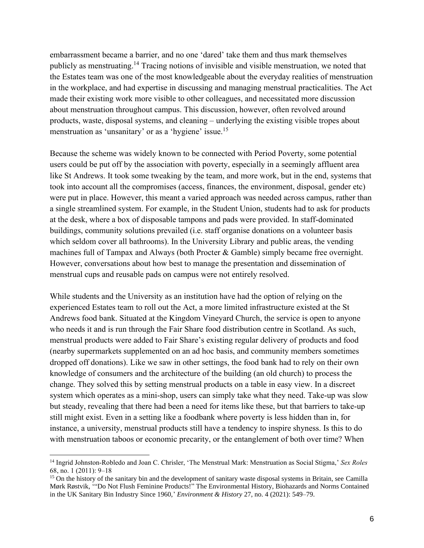embarrassment became a barrier, and no one 'dared' take them and thus mark themselves publicly as menstruating.<sup>14</sup> Tracing notions of invisible and visible menstruation, we noted that the Estates team was one of the most knowledgeable about the everyday realities of menstruation in the workplace, and had expertise in discussing and managing menstrual practicalities. The Act made their existing work more visible to other colleagues, and necessitated more discussion about menstruation throughout campus. This discussion, however, often revolved around products, waste, disposal systems, and cleaning – underlying the existing visible tropes about menstruation as 'unsanitary' or as a 'hygiene' issue.<sup>15</sup>

Because the scheme was widely known to be connected with Period Poverty, some potential users could be put off by the association with poverty, especially in a seemingly affluent area like St Andrews. It took some tweaking by the team, and more work, but in the end, systems that took into account all the compromises (access, finances, the environment, disposal, gender etc) were put in place. However, this meant a varied approach was needed across campus, rather than a single streamlined system. For example, in the Student Union, students had to ask for products at the desk, where a box of disposable tampons and pads were provided. In staff-dominated buildings, community solutions prevailed (i.e. staff organise donations on a volunteer basis which seldom cover all bathrooms). In the University Library and public areas, the vending machines full of Tampax and Always (both Procter & Gamble) simply became free overnight. However, conversations about how best to manage the presentation and dissemination of menstrual cups and reusable pads on campus were not entirely resolved.

While students and the University as an institution have had the option of relying on the experienced Estates team to roll out the Act, a more limited infrastructure existed at the St Andrews food bank. Situated at the Kingdom Vineyard Church, the service is open to anyone who needs it and is run through the Fair Share food distribution centre in Scotland. As such, menstrual products were added to Fair Share's existing regular delivery of products and food (nearby supermarkets supplemented on an ad hoc basis, and community members sometimes dropped off donations). Like we saw in other settings, the food bank had to rely on their own knowledge of consumers and the architecture of the building (an old church) to process the change. They solved this by setting menstrual products on a table in easy view. In a discreet system which operates as a mini-shop, users can simply take what they need. Take-up was slow but steady, revealing that there had been a need for items like these, but that barriers to take-up still might exist. Even in a setting like a foodbank where poverty is less hidden than in, for instance, a university, menstrual products still have a tendency to inspire shyness. Is this to do with menstruation taboos or economic precarity, or the entanglement of both over time? When

<sup>14</sup> Ingrid Johnston-Robledo and Joan C. Chrisler, 'The Menstrual Mark: Menstruation as Social Stigma,' *Sex Roles* 68, no. 1 (2011): 9–18

<sup>&</sup>lt;sup>15</sup> On the history of the sanitary bin and the development of sanitary waste disposal systems in Britain, see Camilla Mørk Røstvik, '"Do Not Flush Feminine Products!" The Environmental History, Biohazards and Norms Contained in the UK Sanitary Bin Industry Since 1960,' *Environment & History* 27, no. 4 (2021): 549–79.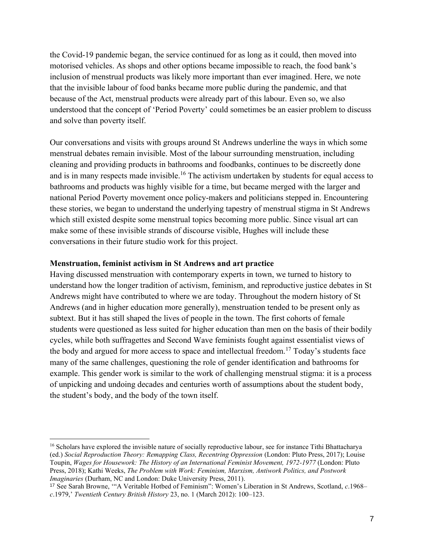the Covid-19 pandemic began, the service continued for as long as it could, then moved into motorised vehicles. As shops and other options became impossible to reach, the food bank's inclusion of menstrual products was likely more important than ever imagined. Here, we note that the invisible labour of food banks became more public during the pandemic, and that because of the Act, menstrual products were already part of this labour. Even so, we also understood that the concept of 'Period Poverty' could sometimes be an easier problem to discuss and solve than poverty itself.

Our conversations and visits with groups around St Andrews underline the ways in which some menstrual debates remain invisible. Most of the labour surrounding menstruation, including cleaning and providing products in bathrooms and foodbanks, continues to be discreetly done and is in many respects made invisible.<sup>16</sup> The activism undertaken by students for equal access to bathrooms and products was highly visible for a time, but became merged with the larger and national Period Poverty movement once policy-makers and politicians stepped in. Encountering these stories, we began to understand the underlying tapestry of menstrual stigma in St Andrews which still existed despite some menstrual topics becoming more public. Since visual art can make some of these invisible strands of discourse visible, Hughes will include these conversations in their future studio work for this project.

#### **Menstruation, feminist activism in St Andrews and art practice**

Having discussed menstruation with contemporary experts in town, we turned to history to understand how the longer tradition of activism, feminism, and reproductive justice debates in St Andrews might have contributed to where we are today. Throughout the modern history of St Andrews (and in higher education more generally), menstruation tended to be present only as subtext. But it has still shaped the lives of people in the town. The first cohorts of female students were questioned as less suited for higher education than men on the basis of their bodily cycles, while both suffragettes and Second Wave feminists fought against essentialist views of the body and argued for more access to space and intellectual freedom.<sup>17</sup> Today's students face many of the same challenges, questioning the role of gender identification and bathrooms for example. This gender work is similar to the work of challenging menstrual stigma: it is a process of unpicking and undoing decades and centuries worth of assumptions about the student body, the student's body, and the body of the town itself.

<sup>&</sup>lt;sup>16</sup> Scholars have explored the invisible nature of socially reproductive labour, see for instance Tithi Bhattacharya (ed.) *Social Reproduction Theory: Remapping Class, Recentring Oppression* (London: Pluto Press, 2017); Louise Toupin, *Wages for Housework: The History of an International Feminist Movement, 1972-1977* (London: Pluto Press, 2018); Kathi Weeks, *The Problem with Work: Feminism, Marxism, Antiwork Politics, and Postwork Imaginaries* (Durham, NC and London: Duke University Press, 2011).

<sup>17</sup> See Sarah Browne, '"A Veritable Hotbed of Feminism": Women's Liberation in St Andrews, Scotland, *c*.1968– *c*.1979,' *Twentieth Century British History* 23, no. 1 (March 2012): 100–123.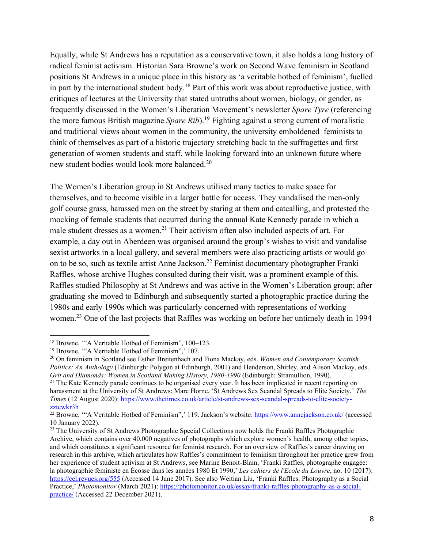Equally, while St Andrews has a reputation as a conservative town, it also holds a long history of radical feminist activism. Historian Sara Browne's work on Second Wave feminism in Scotland positions St Andrews in a unique place in this history as 'a veritable hotbed of feminism', fuelled in part by the international student body.<sup>18</sup> Part of this work was about reproductive justice, with critiques of lectures at the University that stated untruths about women, biology, or gender, as frequently discussed in the Women's Liberation Movement's newsletter *Spare Tyre* (referencing the more famous British magazine *Spare Rib*).<sup>19</sup> Fighting against a strong current of moralistic and traditional views about women in the community, the university emboldened feminists to think of themselves as part of a historic trajectory stretching back to the suffragettes and first generation of women students and staff, while looking forward into an unknown future where new student bodies would look more balanced.<sup>20</sup>

The Women's Liberation group in St Andrews utilised many tactics to make space for themselves, and to become visible in a larger battle for access. They vandalised the men-only golf course grass, harassed men on the street by staring at them and catcalling, and protested the mocking of female students that occurred during the annual Kate Kennedy parade in which a male student dresses as a women.<sup>21</sup> Their activism often also included aspects of art. For example, a day out in Aberdeen was organised around the group's wishes to visit and vandalise sexist artworks in a local gallery, and several members were also practicing artists or would go on to be so, such as textile artist Anne Jackson. <sup>22</sup> Feminist documentary photographer Franki Raffles, whose archive Hughes consulted during their visit, was a prominent example of this. Raffles studied Philosophy at St Andrews and was active in the Women's Liberation group; after graduating she moved to Edinburgh and subsequently started a photographic practice during the 1980s and early 1990s which was particularly concerned with representations of working women.<sup>23</sup> One of the last projects that Raffles was working on before her untimely death in 1994

<sup>&</sup>lt;sup>18</sup> Browne, "A Veritable Hotbed of Feminism", 100-123.

<sup>&</sup>lt;sup>19</sup> Browne, "A Vertiable Hotbed of Feminism",' 107.

<sup>20</sup> On feminism in Scotland see Esther Breitenbach and Fiona Mackay, eds. *Women and Contemporary Scottish Politics: An Anthology* (Edinburgh: Polygon at Edinburgh, 2001) and Henderson, Shirley, and Alison Mackay, eds. *Grit and Diamonds: Women in Scotland Making History, 1980-1990* (Edinburgh: Stramullion, 1990).

<sup>&</sup>lt;sup>21</sup> The Kate Kennedy parade continues to be organised every year. It has been implicated in recent reporting on harassment at the University of St Andrews: Marc Horne, 'St Andrews Sex Scandal Spreads to Elite Society,' *The Times* (12 August 2020): [https://www.thetimes.co.uk/article/st-andrews-sex-scandal-spreads-to-elite-society](https://www.thetimes.co.uk/article/st-andrews-sex-scandal-spreads-to-elite-society-zztcwkr3h)[zztcwkr3h](https://www.thetimes.co.uk/article/st-andrews-sex-scandal-spreads-to-elite-society-zztcwkr3h)

<sup>&</sup>lt;sup>22</sup> Browne, "A Veritable Hotbed of Feminism",' 119. Jackson's website[: https://www.annejackson.co.uk/](https://www.annejackson.co.uk/) (accessed 10 January 2022).

<sup>&</sup>lt;sup>23</sup> The University of St Andrews Photographic Special Collections now holds the Franki Raffles Photographic Archive, which contains over 40,000 negatives of photographs which explore women's health, among other topics, and which constitutes a significant resource for feminist research. For an overview of Raffles's career drawing on research in this archive, which articulates how Raffles's commitment to feminism throughout her practice grew from her experience of student activism at St Andrews, see Marine Benoit-Blain, 'Franki Raffles, photographe engagée: la photographie féministe en Écosse dans les années 1980 Et 1990,' *Les cahiers de l'Ecole du Louvre*, no. 10 (2017): <https://cel.revues.org/555> (Accessed 14 June 2017). See also Weitian Liu, 'Franki Raffles: Photography as a Social Practice,' *Photomonitor* (March 2021): [https://photomonitor.co.uk/essay/franki-raffles-photography-as-a-social](https://photomonitor.co.uk/essay/franki-raffles-photography-as-a-social-practice/)[practice/](https://photomonitor.co.uk/essay/franki-raffles-photography-as-a-social-practice/) (Accessed 22 December 2021).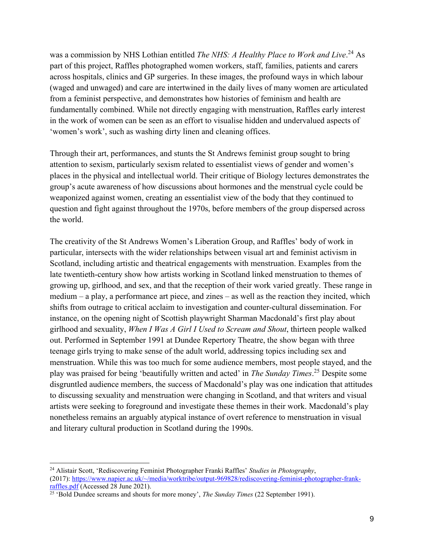was a commission by NHS Lothian entitled *The NHS: A Healthy Place to Work and Live*. <sup>24</sup> As part of this project, Raffles photographed women workers, staff, families, patients and carers across hospitals, clinics and GP surgeries. In these images, the profound ways in which labour (waged and unwaged) and care are intertwined in the daily lives of many women are articulated from a feminist perspective, and demonstrates how histories of feminism and health are fundamentally combined. While not directly engaging with menstruation, Raffles early interest in the work of women can be seen as an effort to visualise hidden and undervalued aspects of 'women's work', such as washing dirty linen and cleaning offices.

Through their art, performances, and stunts the St Andrews feminist group sought to bring attention to sexism, particularly sexism related to essentialist views of gender and women's places in the physical and intellectual world. Their critique of Biology lectures demonstrates the group's acute awareness of how discussions about hormones and the menstrual cycle could be weaponized against women, creating an essentialist view of the body that they continued to question and fight against throughout the 1970s, before members of the group dispersed across the world.

The creativity of the St Andrews Women's Liberation Group, and Raffles' body of work in particular, intersects with the wider relationships between visual art and feminist activism in Scotland, including artistic and theatrical engagements with menstruation. Examples from the late twentieth-century show how artists working in Scotland linked menstruation to themes of growing up, girlhood, and sex, and that the reception of their work varied greatly. These range in medium – a play, a performance art piece, and zines – as well as the reaction they incited, which shifts from outrage to critical acclaim to investigation and counter-cultural dissemination. For instance, on the opening night of Scottish playwright Sharman Macdonald's first play about girlhood and sexuality, *When I Was A Girl I Used to Scream and Shout*, thirteen people walked out. Performed in September 1991 at Dundee Repertory Theatre, the show began with three teenage girls trying to make sense of the adult world, addressing topics including sex and menstruation. While this was too much for some audience members, most people stayed, and the play was praised for being 'beautifully written and acted' in *The Sunday Times*. <sup>25</sup> Despite some disgruntled audience members, the success of Macdonald's play was one indication that attitudes to discussing sexuality and menstruation were changing in Scotland, and that writers and visual artists were seeking to foreground and investigate these themes in their work. Macdonald's play nonetheless remains an arguably atypical instance of overt reference to menstruation in visual and literary cultural production in Scotland during the 1990s.

<sup>24</sup> Alistair Scott, 'Rediscovering Feminist Photographer Franki Raffles' *Studies in Photography*, (2017): [https://www.napier.ac.uk/~/media/worktribe/output-969828/rediscovering-feminist-photographer-frank](https://www.napier.ac.uk/~/media/worktribe/output-969828/rediscovering-feminist-photographer-frank-raffles.pdf)[raffles.pdf](https://www.napier.ac.uk/~/media/worktribe/output-969828/rediscovering-feminist-photographer-frank-raffles.pdf) (Accessed 28 June 2021).

<sup>25</sup> 'Bold Dundee screams and shouts for more money', *The Sunday Times* (22 September 1991).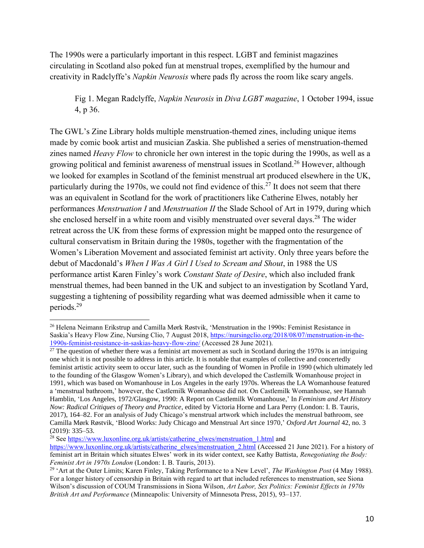The 1990s were a particularly important in this respect. LGBT and feminist magazines circulating in Scotland also poked fun at menstrual tropes, exemplified by the humour and creativity in Radclyffe's *Napkin Neurosis* where pads fly across the room like scary angels.

Fig 1. Megan Radclyffe, *Napkin Neurosis* in *Diva LGBT magazine*, 1 October 1994, issue 4, p 36.

The GWL's Zine Library holds multiple menstruation-themed zines, including unique items made by comic book artist and musician Zaskia. She published a series of menstruation-themed zines named *Heavy Flow* to chronicle her own interest in the topic during the 1990s, as well as a growing political and feminist awareness of menstrual issues in Scotland.<sup>26</sup> However, although we looked for examples in Scotland of the feminist menstrual art produced elsewhere in the UK, particularly during the 1970s, we could not find evidence of this.<sup>27</sup> It does not seem that there was an equivalent in Scotland for the work of practitioners like Catherine Elwes, notably her performances *Menstruation I* and *Menstruation II* the Slade School of Art in 1979, during which she enclosed herself in a white room and visibly menstruated over several days.<sup>28</sup> The wider retreat across the UK from these forms of expression might be mapped onto the resurgence of cultural conservatism in Britain during the 1980s, together with the fragmentation of the Women's Liberation Movement and associated feminist art activity. Only three years before the debut of Macdonald's *When I Was A Girl I Used to Scream and Shout*, in 1988 the US performance artist Karen Finley's work *Constant State of Desire*, which also included frank menstrual themes, had been banned in the UK and subject to an investigation by Scotland Yard, suggesting a tightening of possibility regarding what was deemed admissible when it came to periods.<sup>29</sup>

 $^{28}$  See [https://www.luxonline.org.uk/artists/catherine\\_elwes/menstruation\\_1.html](https://www.luxonline.org.uk/artists/catherine_elwes/menstruation_1.html) and

<sup>26</sup> Helena Neimann Erikstrup and Camilla Mørk Røstvik, 'Menstruation in the 1990s: Feminist Resistance in Saskia's Heavy Flow Zine, Nursing Clio, 7 August 2018[, https://nursingclio.org/2018/08/07/menstruation-in-the-](https://nursingclio.org/2018/08/07/menstruation-in-the-1990s-feminist-resistance-in-saskias-heavy-flow-zine/)[1990s-feminist-resistance-in-saskias-heavy-flow-zine/](https://nursingclio.org/2018/08/07/menstruation-in-the-1990s-feminist-resistance-in-saskias-heavy-flow-zine/) (Accessed 28 June 2021).

 $27$  The question of whether there was a feminist art movement as such in Scotland during the 1970s is an intriguing one which it is not possible to address in this article. It is notable that examples of collective and concertedly feminist artistic activity seem to occur later, such as the founding of Women in Profile in 1990 (which ultimately led to the founding of the Glasgow Women's Library), and which developed the Castlemilk Womanhouse project in 1991, which was based on Womanhouse in Los Angeles in the early 1970s. Whereas the LA Womanhouse featured a 'menstrual bathroom,' however, the Castlemilk Womanhouse did not. On Castlemilk Womanhouse, see Hannah Hamblin, 'Los Angeles, 1972/Glasgow, 1990: A Report on Castlemilk Womanhouse,' In *Feminism and Art History Now: Radical Critiques of Theory and Practice*, edited by Victoria Horne and Lara Perry (London: I. B. Tauris, 2017), 164–82. For an analysis of Judy Chicago's menstrual artwork which includes the menstrual bathroom, see Camilla Mørk Røstvik, 'Blood Works: Judy Chicago and Menstrual Art since 1970,' *Oxford Art Journal* 42, no. 3 (2019): 335–53.

[https://www.luxonline.org.uk/artists/catherine\\_elwes/menstruation\\_2.html](https://www.luxonline.org.uk/artists/catherine_elwes/menstruation_2.html) (Accessed 21 June 2021). For a history of feminist art in Britain which situates Elwes' work in its wider context, see Kathy Battista, *Renegotiating the Body: Feminist Art in 1970s London* (London: I. B. Tauris, 2013).

<sup>29</sup> 'Art at the Outer Limits; Karen Finley, Taking Performance to a New Level', *The Washington Post* (4 May 1988). For a longer history of censorship in Britain with regard to art that included references to menstruation, see Siona Wilson's discussion of COUM Transmissions in Siona Wilson, *Art Labor, Sex Politics: Feminist Effects in 1970s British Art and Performance* (Minneapolis: University of Minnesota Press, 2015), 93–137.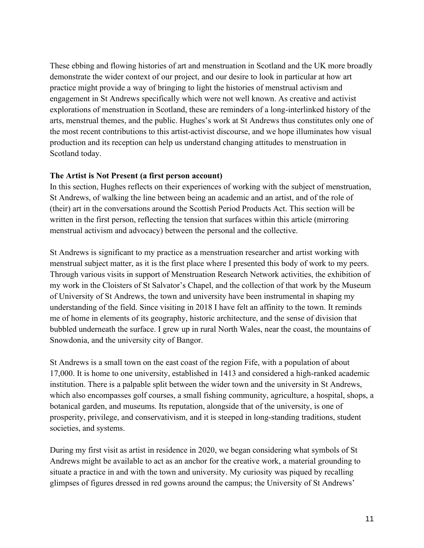These ebbing and flowing histories of art and menstruation in Scotland and the UK more broadly demonstrate the wider context of our project, and our desire to look in particular at how art practice might provide a way of bringing to light the histories of menstrual activism and engagement in St Andrews specifically which were not well known. As creative and activist explorations of menstruation in Scotland, these are reminders of a long-interlinked history of the arts, menstrual themes, and the public. Hughes's work at St Andrews thus constitutes only one of the most recent contributions to this artist-activist discourse, and we hope illuminates how visual production and its reception can help us understand changing attitudes to menstruation in Scotland today.

## **The Artist is Not Present (a first person account)**

In this section, Hughes reflects on their experiences of working with the subject of menstruation, St Andrews, of walking the line between being an academic and an artist, and of the role of (their) art in the conversations around the Scottish Period Products Act. This section will be written in the first person, reflecting the tension that surfaces within this article (mirroring menstrual activism and advocacy) between the personal and the collective.

St Andrews is significant to my practice as a menstruation researcher and artist working with menstrual subject matter, as it is the first place where I presented this body of work to my peers. Through various visits in support of Menstruation Research Network activities, the exhibition of my work in the Cloisters of St Salvator's Chapel, and the collection of that work by the Museum of University of St Andrews, the town and university have been instrumental in shaping my understanding of the field. Since visiting in 2018 I have felt an affinity to the town. It reminds me of home in elements of its geography, historic architecture, and the sense of division that bubbled underneath the surface. I grew up in rural North Wales, near the coast, the mountains of Snowdonia, and the university city of Bangor.

St Andrews is a small town on the east coast of the region Fife, with a population of about 17,000. It is home to one university, established in 1413 and considered a high-ranked academic institution. There is a palpable split between the wider town and the university in St Andrews, which also encompasses golf courses, a small fishing community, agriculture, a hospital, shops, a botanical garden, and museums. Its reputation, alongside that of the university, is one of prosperity, privilege, and conservativism, and it is steeped in long-standing traditions, student societies, and systems.

During my first visit as artist in residence in 2020, we began considering what symbols of St Andrews might be available to act as an anchor for the creative work, a material grounding to situate a practice in and with the town and university. My curiosity was piqued by recalling glimpses of figures dressed in red gowns around the campus; the University of St Andrews'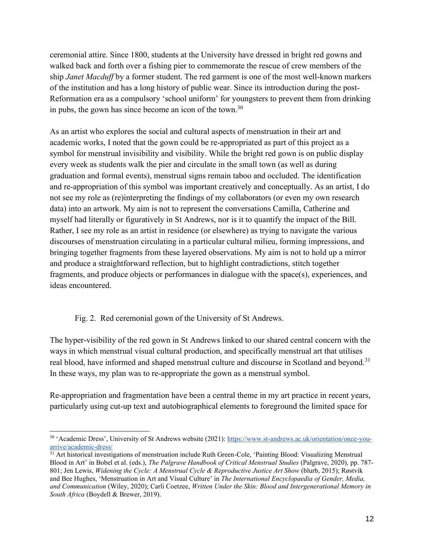ceremonial attire. Since 1800, students at the University have dressed in bright red gowns and walked back and forth over a fishing pier to commemorate the rescue of crew members of the ship *Janet Macduff* by a former student. The red garment is one of the most well-known markers of the institution and has a long history of public wear. Since its introduction during the post-Reformation era as a compulsory 'school uniform' for youngsters to prevent them from drinking in pubs, the gown has since become an icon of the town.<sup>30</sup>

As an artist who explores the social and cultural aspects of menstruation in their art and academic works, I noted that the gown could be re-appropriated as part of this project as a symbol for menstrual invisibility and visibility. While the bright red gown is on public display every week as students walk the pier and circulate in the small town (as well as during graduation and formal events), menstrual signs remain taboo and occluded. The identification and re-appropriation of this symbol was important creatively and conceptually. As an artist, I do not see my role as (re)interpreting the findings of my collaborators (or even my own research data) into an artwork. My aim is not to represent the conversations Camilla, Catherine and myself had literally or figuratively in St Andrews, nor is it to quantify the impact of the Bill. Rather, I see my role as an artist in residence (or elsewhere) as trying to navigate the various discourses of menstruation circulating in a particular cultural milieu, forming impressions, and bringing together fragments from these layered observations. My aim is not to hold up a mirror and produce a straightforward reflection, but to highlight contradictions, stitch together fragments, and produce objects or performances in dialogue with the space(s), experiences, and ideas encountered.

## Fig. 2. Red ceremonial gown of the University of St Andrews.

The hyper-visibility of the red gown in St Andrews linked to our shared central concern with the ways in which menstrual visual cultural production, and specifically menstrual art that utilises real blood, have informed and shaped menstrual culture and discourse in Scotland and beyond.<sup>31</sup> In these ways, my plan was to re-appropriate the gown as a menstrual symbol.

Re-appropriation and fragmentation have been a central theme in my art practice in recent years, particularly using cut-up text and autobiographical elements to foreground the limited space for

<sup>30</sup> 'Academic Dress', University of St Andrews website (2021): [https://www.st-andrews.ac.uk/orientation/once-you](https://www.st-andrews.ac.uk/orientation/once-you-arrive/academic-dress/)[arrive/academic-dress/](https://www.st-andrews.ac.uk/orientation/once-you-arrive/academic-dress/)

<sup>&</sup>lt;sup>31</sup> Art historical investigations of menstruation include Ruth Green-Cole, 'Painting Blood: Visualizing Menstrual Blood in Art' in Bobel et al. (eds.), *The Palgrave Handbook of Critical Menstrual Studies* (Palgrave, 2020)*,* pp. 787- 801; Jen Lewis, *Widening the Cycle: A Menstrual Cycle & Reproductive Justice Art Show* (blurb, 2015); Røstvik and Bee Hughes, 'Menstruation in Art and Visual Culture' in *The International Encyclopaedia of Gender, Media, and Communication* (Wiley, 2020); Carli Coetzee, *Written Under the Skin: Blood and Intergenerational Memory in South Africa* (Boydell & Brewer, 2019).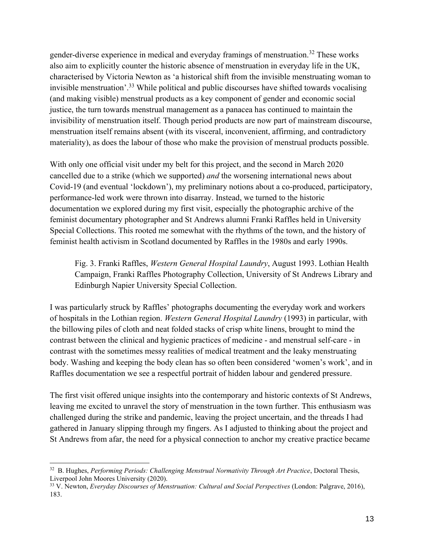gender-diverse experience in medical and everyday framings of menstruation.<sup>32</sup> These works also aim to explicitly counter the historic absence of menstruation in everyday life in the UK, characterised by Victoria Newton as 'a historical shift from the invisible menstruating woman to invisible menstruation'.<sup>33</sup> While political and public discourses have shifted towards vocalising (and making visible) menstrual products as a key component of gender and economic social justice, the turn towards menstrual management as a panacea has continued to maintain the invisibility of menstruation itself. Though period products are now part of mainstream discourse, menstruation itself remains absent (with its visceral, inconvenient, affirming, and contradictory materiality), as does the labour of those who make the provision of menstrual products possible.

With only one official visit under my belt for this project, and the second in March 2020 cancelled due to a strike (which we supported) *and* the worsening international news about Covid-19 (and eventual 'lockdown'), my preliminary notions about a co-produced, participatory, performance-led work were thrown into disarray. Instead, we turned to the historic documentation we explored during my first visit, especially the photographic archive of the feminist documentary photographer and St Andrews alumni Franki Raffles held in University Special Collections. This rooted me somewhat with the rhythms of the town, and the history of feminist health activism in Scotland documented by Raffles in the 1980s and early 1990s.

Fig. 3. Franki Raffles, *Western General Hospital Laundry*, August 1993. Lothian Health Campaign, Franki Raffles Photography Collection, University of St Andrews Library and Edinburgh Napier University Special Collection.

I was particularly struck by Raffles' photographs documenting the everyday work and workers of hospitals in the Lothian region. *Western General Hospital Laundry* (1993) in particular, with the billowing piles of cloth and neat folded stacks of crisp white linens, brought to mind the contrast between the clinical and hygienic practices of medicine - and menstrual self-care - in contrast with the sometimes messy realities of medical treatment and the leaky menstruating body. Washing and keeping the body clean has so often been considered 'women's work', and in Raffles documentation we see a respectful portrait of hidden labour and gendered pressure.

The first visit offered unique insights into the contemporary and historic contexts of St Andrews, leaving me excited to unravel the story of menstruation in the town further. This enthusiasm was challenged during the strike and pandemic, leaving the project uncertain, and the threads I had gathered in January slipping through my fingers. As I adjusted to thinking about the project and St Andrews from afar, the need for a physical connection to anchor my creative practice became

<sup>32</sup> B. Hughes, *Performing Periods: Challenging Menstrual Normativity Through Art Practice*, Doctoral Thesis, Liverpool John Moores University (2020).

<sup>33</sup> V. Newton, *Everyday Discourses of Menstruation: Cultural and Social Perspectives* (London: Palgrave, 2016), 183.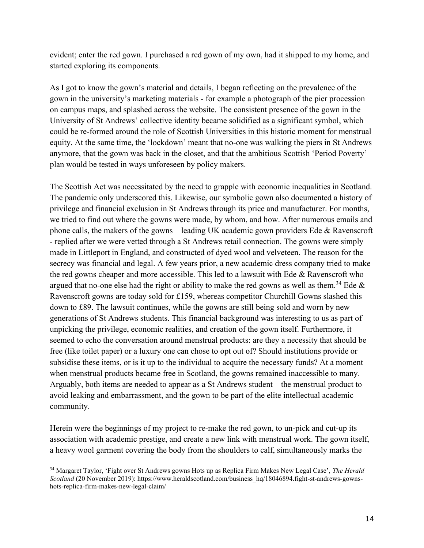evident; enter the red gown. I purchased a red gown of my own, had it shipped to my home, and started exploring its components.

As I got to know the gown's material and details, I began reflecting on the prevalence of the gown in the university's marketing materials - for example a photograph of the pier procession on campus maps, and splashed across the website. The consistent presence of the gown in the University of St Andrews' collective identity became solidified as a significant symbol, which could be re-formed around the role of Scottish Universities in this historic moment for menstrual equity. At the same time, the 'lockdown' meant that no-one was walking the piers in St Andrews anymore, that the gown was back in the closet, and that the ambitious Scottish 'Period Poverty' plan would be tested in ways unforeseen by policy makers.

The Scottish Act was necessitated by the need to grapple with economic inequalities in Scotland. The pandemic only underscored this. Likewise, our symbolic gown also documented a history of privilege and financial exclusion in St Andrews through its price and manufacturer. For months, we tried to find out where the gowns were made, by whom, and how. After numerous emails and phone calls, the makers of the gowns – leading UK academic gown providers Ede & Ravenscroft - replied after we were vetted through a St Andrews retail connection. The gowns were simply made in Littleport in England, and constructed of dyed wool and velveteen. The reason for the secrecy was financial and legal. A few years prior, a new academic dress company tried to make the red gowns cheaper and more accessible. This led to a lawsuit with Ede & Ravenscroft who argued that no-one else had the right or ability to make the red gowns as well as them.<sup>34</sup> Ede  $\&$ Ravenscroft gowns are today sold for £159, whereas competitor Churchill Gowns slashed this down to £89. The lawsuit continues, while the gowns are still being sold and worn by new generations of St Andrews students. This financial background was interesting to us as part of unpicking the privilege, economic realities, and creation of the gown itself. Furthermore, it seemed to echo the conversation around menstrual products: are they a necessity that should be free (like toilet paper) or a luxury one can chose to opt out of? Should institutions provide or subsidise these items, or is it up to the individual to acquire the necessary funds? At a moment when menstrual products became free in Scotland, the gowns remained inaccessible to many. Arguably, both items are needed to appear as a St Andrews student – the menstrual product to avoid leaking and embarrassment, and the gown to be part of the elite intellectual academic community.

Herein were the beginnings of my project to re-make the red gown, to un-pick and cut-up its association with academic prestige, and create a new link with menstrual work. The gown itself, a heavy wool garment covering the body from the shoulders to calf, simultaneously marks the

<sup>34</sup> Margaret Taylor, 'Fight over St Andrews gowns Hots up as Replica Firm Makes New Legal Case', *The Herald Scotland* (20 November 2019): https://www.heraldscotland.com/business\_hq/18046894.fight-st-andrews-gownshots-replica-firm-makes-new-legal-claim/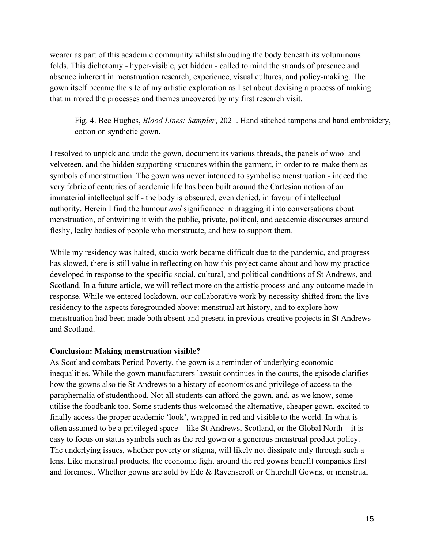wearer as part of this academic community whilst shrouding the body beneath its voluminous folds. This dichotomy - hyper-visible, yet hidden - called to mind the strands of presence and absence inherent in menstruation research, experience, visual cultures, and policy-making. The gown itself became the site of my artistic exploration as I set about devising a process of making that mirrored the processes and themes uncovered by my first research visit.

Fig. 4. Bee Hughes, *Blood Lines: Sampler*, 2021. Hand stitched tampons and hand embroidery, cotton on synthetic gown.

I resolved to unpick and undo the gown, document its various threads, the panels of wool and velveteen, and the hidden supporting structures within the garment, in order to re-make them as symbols of menstruation. The gown was never intended to symbolise menstruation - indeed the very fabric of centuries of academic life has been built around the Cartesian notion of an immaterial intellectual self - the body is obscured, even denied, in favour of intellectual authority. Herein I find the humour *and* significance in dragging it into conversations about menstruation, of entwining it with the public, private, political, and academic discourses around fleshy, leaky bodies of people who menstruate, and how to support them.

While my residency was halted, studio work became difficult due to the pandemic, and progress has slowed, there is still value in reflecting on how this project came about and how my practice developed in response to the specific social, cultural, and political conditions of St Andrews, and Scotland. In a future article, we will reflect more on the artistic process and any outcome made in response. While we entered lockdown, our collaborative work by necessity shifted from the live residency to the aspects foregrounded above: menstrual art history, and to explore how menstruation had been made both absent and present in previous creative projects in St Andrews and Scotland.

### **Conclusion: Making menstruation visible?**

As Scotland combats Period Poverty, the gown is a reminder of underlying economic inequalities. While the gown manufacturers lawsuit continues in the courts, the episode clarifies how the gowns also tie St Andrews to a history of economics and privilege of access to the paraphernalia of studenthood. Not all students can afford the gown, and, as we know, some utilise the foodbank too. Some students thus welcomed the alternative, cheaper gown, excited to finally access the proper academic 'look', wrapped in red and visible to the world. In what is often assumed to be a privileged space – like St Andrews, Scotland, or the Global North – it is easy to focus on status symbols such as the red gown or a generous menstrual product policy. The underlying issues, whether poverty or stigma, will likely not dissipate only through such a lens. Like menstrual products, the economic fight around the red gowns benefit companies first and foremost. Whether gowns are sold by Ede & Ravenscroft or Churchill Gowns, or menstrual